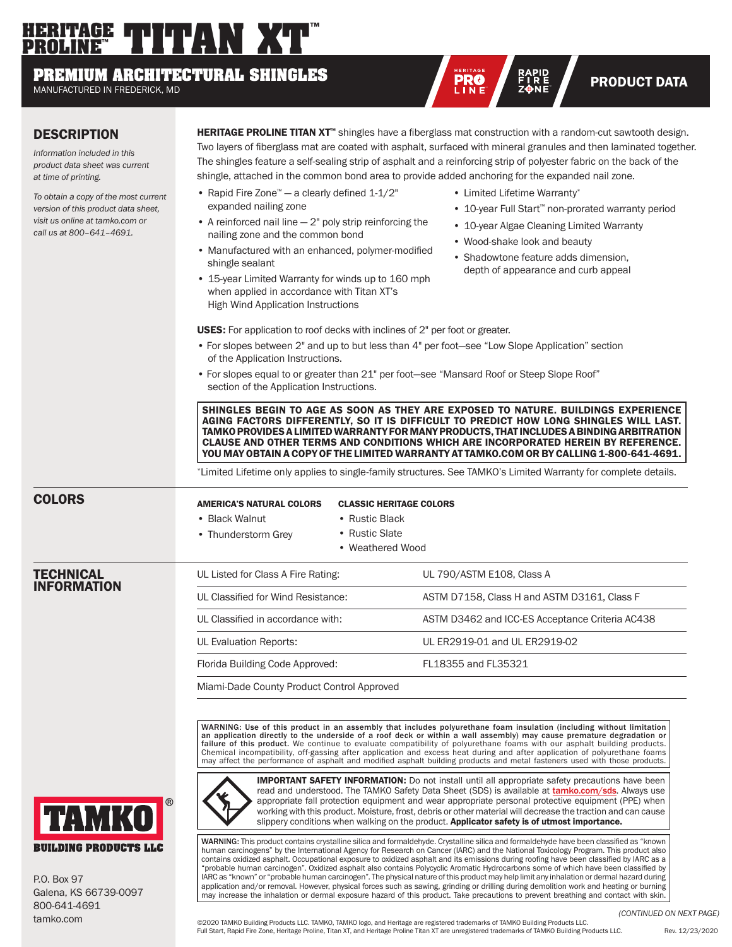# **THERITAGE THETAN XT PROLINE™**

## **PREMIUM ARCHITECTURAL SHINGLES**

MANUFACTURED IN FREDERICK, MD

### **DESCRIPTION**

*Information included in this product data sheet was current at time of printing.* 

*To obtain a copy of the most current version of this product data sheet, visit us online at tamko.com or call us at 800–641–4691.*

HERITAGE PROLINE TITAN XT™ shingles have a fiberglass mat construction with a random-cut sawtooth design. Two layers of fiberglass mat are coated with asphalt, surfaced with mineral granules and then laminated together. The shingles feature a self-sealing strip of asphalt and a reinforcing strip of polyester fabric on the back of the shingle, attached in the common bond area to provide added anchoring for the expanded nail zone.

**HERITA G E**

- Rapid Fire Zone™ a clearly defined 1-1/2" expanded nailing zone
- A reinforced nail line  $-2$ " poly strip reinforcing the nailing zone and the common bond
- Manufactured with an enhanced, polymer-modified shingle sealant
- 15-year Limited Warranty for winds up to 160 mph when applied in accordance with Titan XT's High Wind Application Instructions
- Limited Lifetime Warranty\*
- 10-year Full Start™ non-prorated warranty period

RAPID<br>FIRE **PRODUCT DATA** 

- 10-year Algae Cleaning Limited Warranty
- Wood-shake look and beauty
- Shadowtone feature adds dimension, depth of appearance and curb appeal

USES: For application to roof decks with inclines of 2" per foot or greater.

- For slopes between 2" and up to but less than 4" per foot—see "Low Slope Application" section of the Application Instructions.
- For slopes equal to or greater than 21" per foot—see "Mansard Roof or Steep Slope Roof" section of the Application Instructions.

SHINGLES BEGIN TO AGE AS SOON AS THEY ARE EXPOSED TO NATURE. BUILDINGS EXPERIENCE AGING FACTORS DIFFERENTLY, SO IT IS DIFFICULT TO PREDICT HOW LONG SHINGLES WILL LAST. TAMKO PROVIDES A LIMITED WARRANTY FOR MANY PRODUCTS, THAT INCLUDES A BINDING ARBITRATION CLAUSE AND OTHER TERMS AND CONDITIONS WHICH ARE INCORPORATED HEREIN BY REFERENCE. YOU MAY OBTAIN A COPY OF THE LIMITED WARRANTY AT TAMKO.COM OR BY CALLING 1-800-641-4691.

\*Limited Lifetime only applies to single-family structures. See TAMKO's Limited Warranty for complete details.

## COLORS

- 
- Black Walnut
- Thunderstorm Grey
- Rustic Black AMERICA'S NATURAL COLORS CLASSIC HERITAGE COLORS
	-
- Rustic Slate • Weathered Wood

#### **TECHNICAL** INFORMATION



Miami-Dade County Product Control Approved

WARNING: Use of this product in an assembly that includes polyurethane foam insulation (including without limitation<br>an application directly to the underside of a roof deck or within a wall assembly) may cause premature de failure of this product. We continue to evaluate compatibility of polyurethane foams with our asphalt building products.<br>Chemical incompatibility, off-gassing after application and excess heat during and after application



**IMPORTANT SAFETY INFORMATION:** Do not install until all appropriate safety precautions have been read and understood. The TAMKO Safety Data Sheet (SDS) is available at **tamko.com/sds**. Always use appropriate fall protection equipment and wear appropriate personal protective equipment (PPE) when working with this product. Moisture, frost, debris or other material will decrease the traction and can cause slippery conditions when walking on the product. Applicator safety is of utmost importance.

WARNING: This product contains crystalline silica and formaldehyde. Crystalline silica and formaldehyde have been classified as "known<br>human carcinogens" by the International Agency for Research on Cancer (IARC) and the Na contains oxidized asphalt. Occupational exposure to oxidized asphalt and its emissions during roofing have been classified by IARC as a "probable human carcinogen". Oxidized asphalt also contains Polycyclic Aromatic Hydrocarbons some of which have been classified by IARC as "known" or "probable human carcinogen". The physical nature of this product may help limit any inhalation or dermal hazard during application and/or removal. However, physical forces such as sawing, grinding or drilling during demolition work and heating or burning may increase the inhalation or dermal exposure hazard of this product. Take precautions to prevent breathing and contact with skin.

P.O. Box 97 Galena, KS 66739-0097 800-641-4691 tamko.com

*(CONTINUED ON NEXT PAGE)*

©2020 TAMKO Building Products LLC. TAMKO, TAMKO logo, and Heritage are registered trademarks of TAMKO Building Products LLC. Full Start, Rapid Fire Zone, Heritage Proline, Titan XT, and Heritage Proline Titan XT are unregistered trademarks of TAMKO Building Products LLC. Rev. 12/23/2020